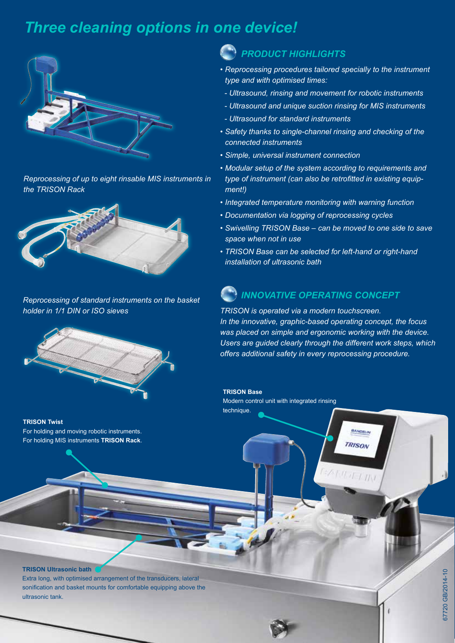## *Three cleaning options in one device!*



*Reprocessing of up to eight rinsable MIS instruments in the TRISON Rack*



*Reprocessing of standard instruments on the basket holder in 1/1 DIN or ISO sieves*



**TRISON Twist**  For holding and moving robotic instruments. For holding MIS instruments **TRISON Rack**.

## *PRODUCT HIGHLIGHTS*

- *Reprocessing procedures tailored specially to the instrument type and with optimised times:*
	- *Ultrasound, rinsing and movement for robotic instruments*
- *Ultrasound and unique suction rinsing for MIS instruments*
- *Ultrasound for standard instruments*
- *Safety thanks to single-channel rinsing and checking of the connected instruments*
- *Simple, universal instrument connection*
- *Modular setup of the system according to requirements and type of instrument (can also be retrofitted in existing equipment!)*
- *Integrated temperature monitoring with warning function*
- *Documentation via logging of reprocessing cycles*
- *Swivelling TRISON Base can be moved to one side to save space when not in use*
- *TRISON Base can be selected for left-hand or right-hand installation of ultrasonic bath*

## *INNOVATIVE OPERATING CONCEPT*

*TRISON is operated via a modern touchscreen. In the innovative, graphic-based operating concept, the focus was placed on simple and ergonomic working with the device. Users are guided clearly through the different work steps, which offers additional safety in every reprocessing procedure.* 

> BANDELIN TRISON

**Muritim** 

**TRISON Base** Modern control unit with integrated rinsing technique.

#### **TRISON Ultrasonic bath**

Extra long, with optimised arrangement of the transducers, lateral sonification and basket mounts for comfortable equipping above the ultrasonic tank.